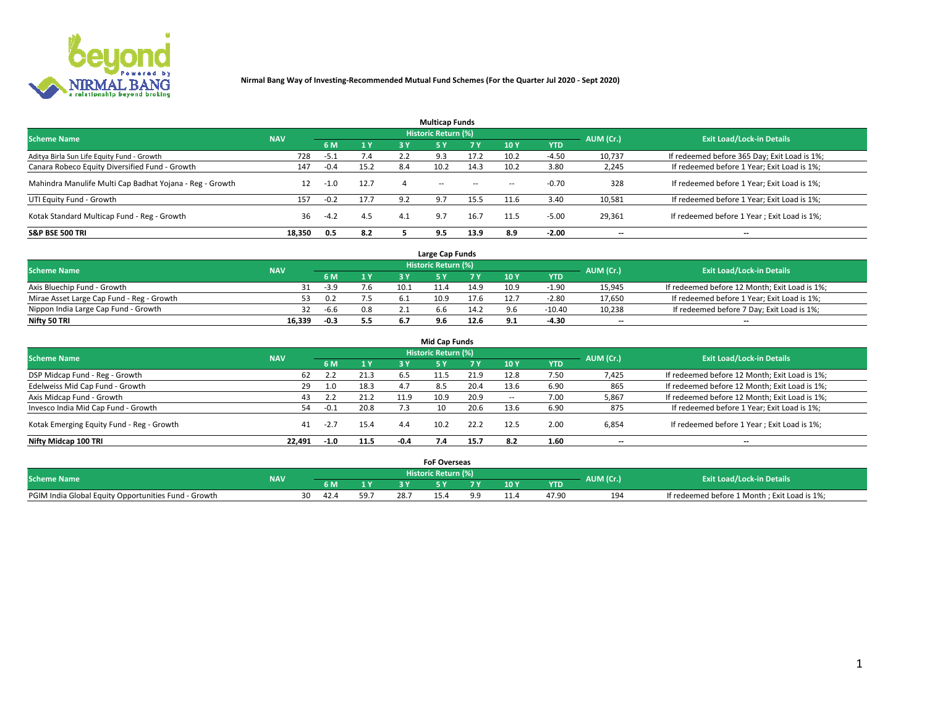

| <b>Multicap Funds</b>                                    |            |        |      |     |                     |           |                          |            |           |                                              |  |  |  |
|----------------------------------------------------------|------------|--------|------|-----|---------------------|-----------|--------------------------|------------|-----------|----------------------------------------------|--|--|--|
| <b>Scheme Name</b>                                       | <b>NAV</b> |        |      |     | Historic Return (%) |           |                          |            | AUM (Cr.) | <b>Exit Load/Lock-in Details</b>             |  |  |  |
|                                                          |            | 6 M    | 1 Y  | 3 Y | <b>5Y</b>           | <b>7Y</b> | 10Y                      | <b>YTD</b> |           |                                              |  |  |  |
| Aditya Birla Sun Life Equity Fund - Growth               | 728        | -5.1   | 7.4  |     | 9.3                 | 17.2      | 10.2                     | $-4.50$    | 10,737    | If redeemed before 365 Day; Exit Load is 1%; |  |  |  |
| Canara Robeco Equity Diversified Fund - Growth           | 147        | $-0.4$ | 15.2 | 8.4 | 10.2                | 14.3      | 10.2                     | 3.80       | 2,245     | If redeemed before 1 Year; Exit Load is 1%;  |  |  |  |
| Mahindra Manulife Multi Cap Badhat Yojana - Reg - Growth | 12         | $-1.0$ | 12.7 |     | $\sim$              | $\sim$    | $\overline{\phantom{a}}$ | $-0.70$    | 328       | If redeemed before 1 Year; Exit Load is 1%;  |  |  |  |
| UTI Equity Fund - Growth                                 | 157        | $-0.2$ | 17.7 | 9.2 | 9.7                 | 15.5      | 11.6                     | 3.40       | 10,581    | If redeemed before 1 Year; Exit Load is 1%;  |  |  |  |
| Kotak Standard Multicap Fund - Reg - Growth              | 36         | $-4.2$ | 4.5  | 4.1 | 9.7                 | 16.7      | 11.5                     | $-5.00$    | 29,361    | If redeemed before 1 Year; Exit Load is 1%;  |  |  |  |
| <b>S&amp;P BSE 500 TRI</b>                               | 18.350     | 0.5    | 8.2  |     | 9.5                 | 13.9      | 8.9                      | $-2.00$    | --        | $- -$                                        |  |  |  |

|                                           |            |        |              |      | Large Cap Funds     |      |      |            |                          |                                               |
|-------------------------------------------|------------|--------|--------------|------|---------------------|------|------|------------|--------------------------|-----------------------------------------------|
| <b>Scheme Name</b>                        | <b>NAV</b> |        |              |      | Historic Return (%) |      |      |            | AUM (Cr.)                | <b>Exit Load/Lock-in Details</b>              |
|                                           |            | 6 M    | $\sqrt{1}$ Y |      |                     |      | 10 Y | <b>YTD</b> |                          |                                               |
| Axis Bluechip Fund - Growth               |            | $-3.9$ | 7.6          | 10.1 |                     | 14.9 | 10.9 | $-1.90$    | 15,945                   | If redeemed before 12 Month; Exit Load is 1%; |
| Mirae Asset Large Cap Fund - Reg - Growth |            | 0.2    | 7.5          |      | 10.9                | 17.6 | 12.7 | $-2.80$    | 17,650                   | If redeemed before 1 Year; Exit Load is 1%;   |
| Nippon India Large Cap Fund - Growth      |            | $-6.6$ | 0.8          |      |                     | 14.2 |      | $-10.40$   | 10,238                   | If redeemed before 7 Day; Exit Load is 1%;    |
| Nifty 50 TRI                              | 16,339     | $-0.3$ | 5.5          |      | У.Ь                 | 12.6 |      | $-4.30$    | $\overline{\phantom{a}}$ | $- -$                                         |

| <b>Mid Cap Funds</b>                      |            |        |      |      |                            |           |                          |            |                          |                                               |  |  |  |
|-------------------------------------------|------------|--------|------|------|----------------------------|-----------|--------------------------|------------|--------------------------|-----------------------------------------------|--|--|--|
| <b>Scheme Name</b>                        | <b>NAV</b> |        |      |      | <b>Historic Return (%)</b> |           |                          |            | AUM (Cr.)                | <b>Exit Load/Lock-in Details</b>              |  |  |  |
|                                           |            | 6 M    | 1 Y  | 3 Y  |                            | <b>7Y</b> | 10Y                      | <b>YTD</b> |                          |                                               |  |  |  |
| DSP Midcap Fund - Reg - Growth            | 62         |        | 21.3 | 6.5  | 11.5                       | 21.9      | 12.8                     | 7.50       | 7,425                    | If redeemed before 12 Month; Exit Load is 1%; |  |  |  |
| Edelweiss Mid Cap Fund - Growth           | 29         | 1.0    | 18.3 | 4.7  | 8.5                        | 20.4      | 13.6                     | 6.90       | 865                      | If redeemed before 12 Month; Exit Load is 1%; |  |  |  |
| Axis Midcap Fund - Growth                 | 43         | 2.2    | 21.2 | 11.9 | 10.9                       | 20.9      | $\overline{\phantom{a}}$ | 7.00       | 5,867                    | If redeemed before 12 Month; Exit Load is 1%; |  |  |  |
| Invesco India Mid Cap Fund - Growth       | 54         | $-0.1$ | 20.8 |      | 10                         | 20.6      | 13.6                     | 6.90       | 875                      | If redeemed before 1 Year; Exit Load is 1%;   |  |  |  |
| Kotak Emerging Equity Fund - Reg - Growth | 41         | $-2.7$ | 15.4 | 4.4  | 10.2                       | 22.2      | 12.5                     | 2.00       | 6,854                    | If redeemed before 1 Year; Exit Load is 1%;   |  |  |  |
| Nifty Midcap 100 TRI                      | 22.491     | $-1.0$ | 11.5 | -0.4 |                            | 15.7      | 8.2                      | 1.60       | $\overline{\phantom{a}}$ | $- -$                                         |  |  |  |

|                                                      |            |      |      |      | <b>FoF Overseas</b> |      |            |           |                                              |
|------------------------------------------------------|------------|------|------|------|---------------------|------|------------|-----------|----------------------------------------------|
| <b>Scheme Name</b>                                   | <b>NAV</b> |      |      |      | Historic Return (%) |      |            | AUM (Cr.) | <b>Exit Load/Lock-in Details</b>             |
|                                                      |            | 6 M  | 1Y   |      |                     | 10 Y | <b>YTD</b> |           |                                              |
| PGIM India Global Equity Opportunities Fund - Growth |            | 42.4 | 59.7 | 28.7 |                     |      | 47.90      | 194       | If redeemed before 1 Month; Exit Load is 1%; |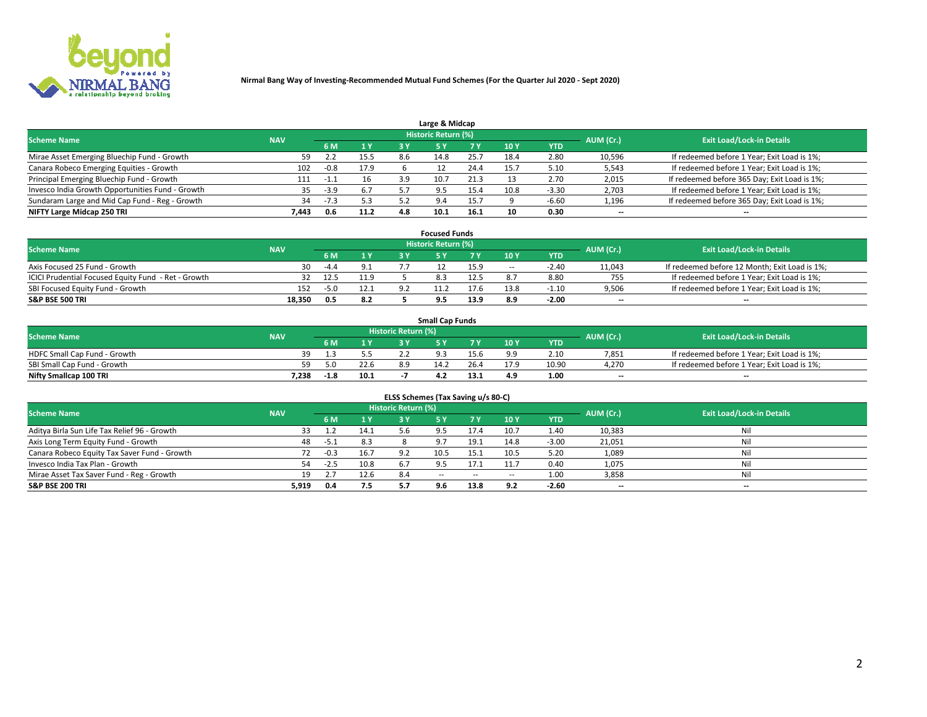

| Large & Midcap                                   |            |        |      |     |                     |      |      |            |                          |                                              |  |  |  |
|--------------------------------------------------|------------|--------|------|-----|---------------------|------|------|------------|--------------------------|----------------------------------------------|--|--|--|
| <b>Scheme Name</b>                               | <b>NAV</b> |        |      |     | Historic Return (%) |      |      |            | AUM (Cr.)                | <b>Exit Load/Lock-in Details</b>             |  |  |  |
|                                                  |            | 6 M    | 1 Y  | 3 Y |                     | 7 V  | 10Y  | <b>YTD</b> |                          |                                              |  |  |  |
| Mirae Asset Emerging Bluechip Fund - Growth      | 59         |        | 15.5 | 8.6 | 14.8                | 25.7 | 18.4 | 2.80       | 10,596                   | If redeemed before 1 Year; Exit Load is 1%;  |  |  |  |
| Canara Robeco Emerging Equities - Growth         | 102        | $-0.8$ | 17.9 |     |                     | 24.4 | 15.  | 5.10       | 5,543                    | If redeemed before 1 Year; Exit Load is 1%;  |  |  |  |
| Principal Emerging Bluechip Fund - Growth        | 111        | -1.1   | 16   | 3.9 | 10.7                | 21.3 |      | 2.70       | 2,015                    | If redeemed before 365 Day; Exit Load is 1%; |  |  |  |
| Invesco India Growth Opportunities Fund - Growth | 35         | $-3.9$ | 6.7  |     | -9.5                |      | 10.8 | $-3.30$    | 2,703                    | If redeemed before 1 Year; Exit Load is 1%;  |  |  |  |
| Sundaram Large and Mid Cap Fund - Reg - Growth   | 34         | $-7.3$ | 5.3  |     | 9.4                 | 15.7 |      | $-6.60$    | 1,196                    | If redeemed before 365 Day; Exit Load is 1%; |  |  |  |
| NIFTY Large Midcap 250 TRI                       | 7.443      | 0.6    | 11.2 | 4.8 |                     | 16.1 | 10   | 0.30       | $\overline{\phantom{a}}$ | $- -$                                        |  |  |  |

|                                                     |            |        |      |            | <b>Focused Funds</b>       |      |        |            |                          |                                               |
|-----------------------------------------------------|------------|--------|------|------------|----------------------------|------|--------|------------|--------------------------|-----------------------------------------------|
| <b>Scheme Name</b>                                  | <b>NAV</b> |        |      |            | <b>Historic Return (%)</b> |      |        |            | AUM (Cr.)                | <b>Exit Load/Lock-in Details</b>              |
|                                                     |            | 6 M    | 1 Y  |            |                            | 7 V  | 10 Y   | <b>YTD</b> |                          |                                               |
| Axis Focused 25 Fund - Growth                       | 30         | $-4.4$ | 9.1  |            |                            | 15.9 | $\sim$ | $-2.40$    | 11,043                   | If redeemed before 12 Month; Exit Load is 1%; |
| ICICI Prudential Focused Equity Fund - Ret - Growth |            | 12.5   | 11.9 |            |                            | 12.5 |        | 8.80       | 755                      | If redeemed before 1 Year; Exit Load is 1%;   |
| SBI Focused Equity Fund - Growth                    | 152        | $-5.0$ | 12.1 | <u>ດ :</u> |                            | 17.6 | 13.8   | $-1.10$    | 9,506                    | If redeemed before 1 Year; Exit Load is 1%;   |
| <b>S&amp;P BSE 500 TRI</b>                          | 18.350     | 0.5    | 8.2  |            |                            | 13.9 |        | $-2.00$    | $\overline{\phantom{a}}$ | $\overline{\phantom{a}}$                      |

| <b>Small Cap Funds</b>       |            |        |      |                     |      |      |                 |            |           |                                             |  |  |  |
|------------------------------|------------|--------|------|---------------------|------|------|-----------------|------------|-----------|---------------------------------------------|--|--|--|
| <b>Scheme Name</b>           | <b>NAV</b> |        |      | Historic Return (%) |      |      |                 |            | AUM (Cr.) | <b>Exit Load/Lock-in Details</b>            |  |  |  |
|                              |            | 6 M    |      |                     |      |      | 10 <sub>Y</sub> | <b>YTD</b> |           |                                             |  |  |  |
| HDFC Small Cap Fund - Growth |            |        |      |                     |      | 15.h | ه ه             | 2.10       | 7,851     | If redeemed before 1 Year; Exit Load is 1%; |  |  |  |
| SBI Small Cap Fund - Growth  |            | 5.በ    | 22.6 | 8.9                 | 14.2 |      | 17.9            | 10.90      | 4,270     | If redeemed before 1 Year; Exit Load is 1%; |  |  |  |
| Nifty Smallcap 100 TRI       | 7.238      | $-1.8$ | 10.1 |                     |      | 13.1 | 4.9             | 1.00       | $- -$     | $- -$                                       |  |  |  |

| ELSS Schemes (Tax Saving u/s 80-C)           |            |        |      |                            |            |           |                          |            |                          |                                  |  |  |  |
|----------------------------------------------|------------|--------|------|----------------------------|------------|-----------|--------------------------|------------|--------------------------|----------------------------------|--|--|--|
| <b>Scheme Name</b>                           | <b>NAV</b> |        |      | <b>Historic Return (%)</b> |            |           |                          |            | AUM (Cr.)                | <b>Exit Load/Lock-in Details</b> |  |  |  |
|                                              |            | - 6 M  | 1 Y  | 3 Y                        | <b>5Y</b>  | <b>7Y</b> | 10Y                      | <b>YTD</b> |                          |                                  |  |  |  |
| Aditya Birla Sun Life Tax Relief 96 - Growth | 33         |        | 14.1 | 5.6                        |            | 17.4      | 10.7                     | 1.40       | 10,383                   | Nil                              |  |  |  |
| Axis Long Term Equity Fund - Growth          | 48         | -5.1   | 8.3  |                            |            | 19.1      | 14.8                     | $-3.00$    | 21,051                   | Nil                              |  |  |  |
| Canara Robeco Equity Tax Saver Fund - Growth | 72         | $-0.3$ | 16.7 | 9.2                        | 10.5       | 15.1      | 10.5                     | 5.20       | 1,089                    | Nil                              |  |  |  |
| Invesco India Tax Plan - Growth              | 54         | $-2.5$ | 10.8 |                            |            | ב.7'      | 11.7                     | 0.40       | 1,075                    | Nil                              |  |  |  |
| Mirae Asset Tax Saver Fund - Reg - Growth    | 19         |        | 12.6 | 8.4                        | $\sim$ $-$ | $\sim$    | $\overline{\phantom{a}}$ | 1.00       | 3,858                    | Nil                              |  |  |  |
| S&P BSE 200 TRI                              | 5,919      | 0.4    | 7.5  | 5.7                        | 9.6        | 13.8      | 9.2                      | $-2.60$    | $\overline{\phantom{a}}$ | $- -$                            |  |  |  |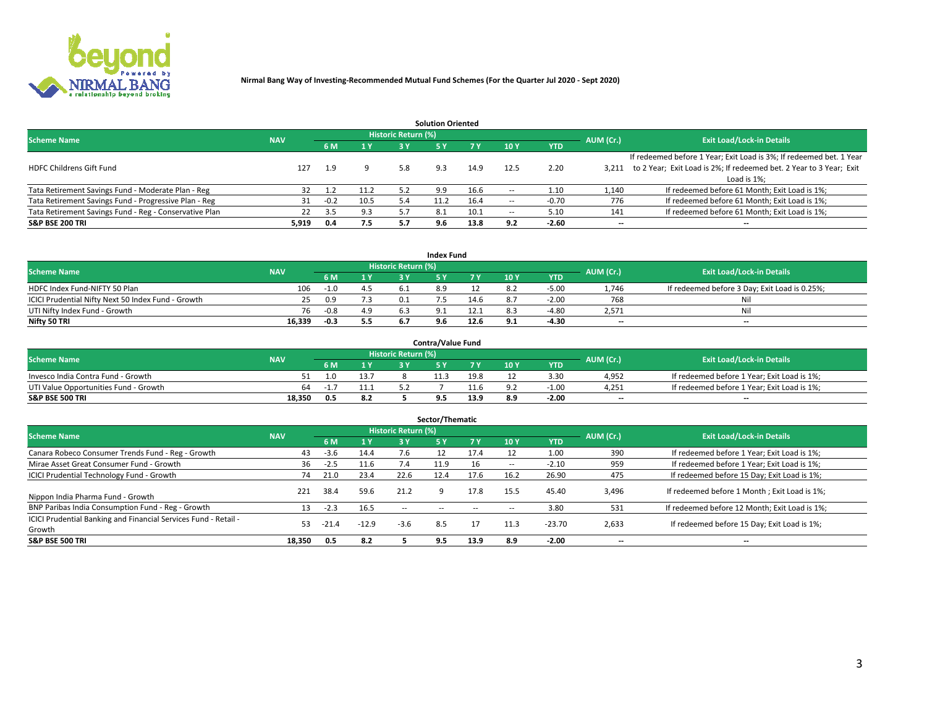

|                                                        |            |            |      |                            | <b>Solution Oriented</b> |      |                          |            |                          |                                                                     |
|--------------------------------------------------------|------------|------------|------|----------------------------|--------------------------|------|--------------------------|------------|--------------------------|---------------------------------------------------------------------|
| <b>Scheme Name</b>                                     | <b>NAV</b> |            |      | <b>Historic Return (%)</b> |                          |      |                          |            | AUM (Cr.)                | <b>Exit Load/Lock-in Details</b>                                    |
|                                                        |            | <b>6 M</b> | 1 Y  | 3 Y                        |                          |      | 10Y                      | <b>YTD</b> |                          |                                                                     |
|                                                        |            |            |      |                            |                          |      |                          |            |                          | If redeemed before 1 Year; Exit Load is 3%; If redeemed bet. 1 Year |
| <b>HDFC Childrens Gift Fund</b>                        | 127        | 1.9        |      | 5.8                        | 9.3                      | 14.9 | 12.5                     | 2.20       | 3.211                    | to 2 Year; Exit Load is 2%; If redeemed bet. 2 Year to 3 Year; Exit |
|                                                        |            |            |      |                            |                          |      |                          |            |                          | Load is 1%;                                                         |
| Tata Retirement Savings Fund - Moderate Plan - Reg     |            | 1.2        | 11.2 | 5.2                        | 9.9                      | 16.6 | --                       | 1.10       | 1,140                    | If redeemed before 61 Month; Exit Load is 1%;                       |
| Tata Retirement Savings Fund - Progressive Plan - Reg  | 31         | $-0.2$     | 10.5 | 5.4                        | 11.2                     | 16.4 | $\overline{\phantom{a}}$ | $-0.70$    | 776                      | If redeemed before 61 Month; Exit Load is 1%;                       |
| Tata Retirement Savings Fund - Reg - Conservative Plan | 22         | 3.5        | 9.3  |                            | 8.1                      | 10.1 | --                       | 5.10       | 141                      | If redeemed before 61 Month; Exit Load is 1%;                       |
| S&P BSE 200 TRI                                        | 5,919      | 0.4        | 7.5  | 5.7                        | 9.6                      | 13.8 | 9.2                      | $-2.60$    | $\overline{\phantom{a}}$ | $- -$                                                               |

|                                                    |            |        |              |                            | <b>Index Fund</b> |      |      |            |                          |                                               |
|----------------------------------------------------|------------|--------|--------------|----------------------------|-------------------|------|------|------------|--------------------------|-----------------------------------------------|
| <b>Scheme Name</b>                                 | <b>NAV</b> |        |              | <b>Historic Return (%)</b> |                   |      |      |            | AUM (Cr.)                | <b>Exit Load/Lock-in Details</b>              |
|                                                    |            |        | $\sqrt{1}$ V | 2 V                        |                   | 7 V  | 10 Y | <b>YTD</b> |                          |                                               |
| HDFC Index Fund-NIFTY 50 Plan                      | 106        |        |              |                            |                   |      |      | $-5.00$    | 1,746                    | If redeemed before 3 Day; Exit Load is 0.25%; |
| ICICI Prudential Nifty Next 50 Index Fund - Growth |            | 0.9    |              |                            |                   | 14.6 |      | $-2.00$    | 768                      | Nil                                           |
| UTI Nifty Index Fund - Growth                      | 76         | $-0.8$ | 4.9          |                            |                   | 12.1 |      | -4.80      | 2,571                    | Nil                                           |
| Nifty 50 TRI                                       | 16,339     | $-0.3$ | 5.5          |                            | 9.6               | 12.6 |      | -4.30      | $\overline{\phantom{a}}$ | $- -$                                         |

|                                       |            |      |                                   |                            | <b>Contra/Value Fund</b> |      |     |            |                          |                                             |
|---------------------------------------|------------|------|-----------------------------------|----------------------------|--------------------------|------|-----|------------|--------------------------|---------------------------------------------|
| <b>Scheme Name</b>                    | <b>NAV</b> |      |                                   | <b>Historic Return (%)</b> |                          |      |     |            | AUM (Cr.)                | <b>Exit Load/Lock-in Details</b>            |
|                                       |            |      | $\boldsymbol{A}$ $\boldsymbol{V}$ |                            |                          | 7 V  | 10Y | <b>YTD</b> |                          |                                             |
| Invesco India Contra Fund - Growth    |            |      | 13.7                              |                            | 11.3                     | 19.8 |     | 3.30       | 4,952                    | If redeemed before 1 Year; Exit Load is 1%; |
| UTI Value Opportunities Fund - Growth | 64         | - 11 | 11.1                              |                            |                          |      |     | $-1.00$    | 4,251                    | If redeemed before 1 Year; Exit Load is 1%; |
| <b>S&amp;P BSE 500 TRI</b>            | 18.350     | 0.5  | 8.2                               |                            |                          | 13.9 |     | $-2.00$    | $\overline{\phantom{a}}$ | $- -$                                       |

| Sector/Thematic                                                           |            |        |                |                     |            |        |                          |            |           |                                               |  |  |  |
|---------------------------------------------------------------------------|------------|--------|----------------|---------------------|------------|--------|--------------------------|------------|-----------|-----------------------------------------------|--|--|--|
| <b>Scheme Name</b>                                                        | <b>NAV</b> |        |                | Historic Return (%) |            |        |                          |            | AUM (Cr.) | <b>Exit Load/Lock-in Details</b>              |  |  |  |
|                                                                           |            | 6 M    | 1 <sub>Y</sub> | 3 Y                 | <b>5Y</b>  | 7 Y    | 10Y                      | <b>YTD</b> |           |                                               |  |  |  |
| Canara Robeco Consumer Trends Fund - Reg - Growth                         | 43         | $-3.6$ | 14.4           | 7.6                 |            | 17.4   |                          | 1.00       | 390       | If redeemed before 1 Year; Exit Load is 1%;   |  |  |  |
| Mirae Asset Great Consumer Fund - Growth                                  | 36         | $-2.5$ | 11.6           | $\sqrt{4}$          | 11.9       |        | $\overline{\phantom{a}}$ | $-2.10$    | 959       | If redeemed before 1 Year; Exit Load is 1%;   |  |  |  |
| <b>ICICI Prudential Technology Fund - Growth</b>                          | 74         | 21.0   | 23.4           | 22.6                | 12.4       | 17.6   | 16.2                     | 26.90      | 475       | If redeemed before 15 Day; Exit Load is 1%;   |  |  |  |
| Nippon India Pharma Fund - Growth                                         | 221        | 38.4   | 59.6           | 21.2                |            | 17.8   | 15.5                     | 45.40      | 3,496     | If redeemed before 1 Month; Exit Load is 1%;  |  |  |  |
| BNP Paribas India Consumption Fund - Reg - Growth                         | 13         | $-2.3$ | 16.5           | $\sim$ $\sim$       | $\sim$ $-$ | $\sim$ | $\overline{\phantom{a}}$ | 3.80       | 531       | If redeemed before 12 Month; Exit Load is 1%; |  |  |  |
| ICICI Prudential Banking and Financial Services Fund - Retail -<br>Growth | 53         |        | $-12.9$        | $-3.6$              | 8.5        | 17     | 11.3                     | $-23.70$   | 2,633     | If redeemed before 15 Day; Exit Load is 1%;   |  |  |  |
| <b>S&amp;P BSE 500 TRI</b>                                                | 18.350     | 0.5    | 8.2            |                     | 9.5        | 13.9   | -8.9                     | $-2.00$    | --        | $- -$                                         |  |  |  |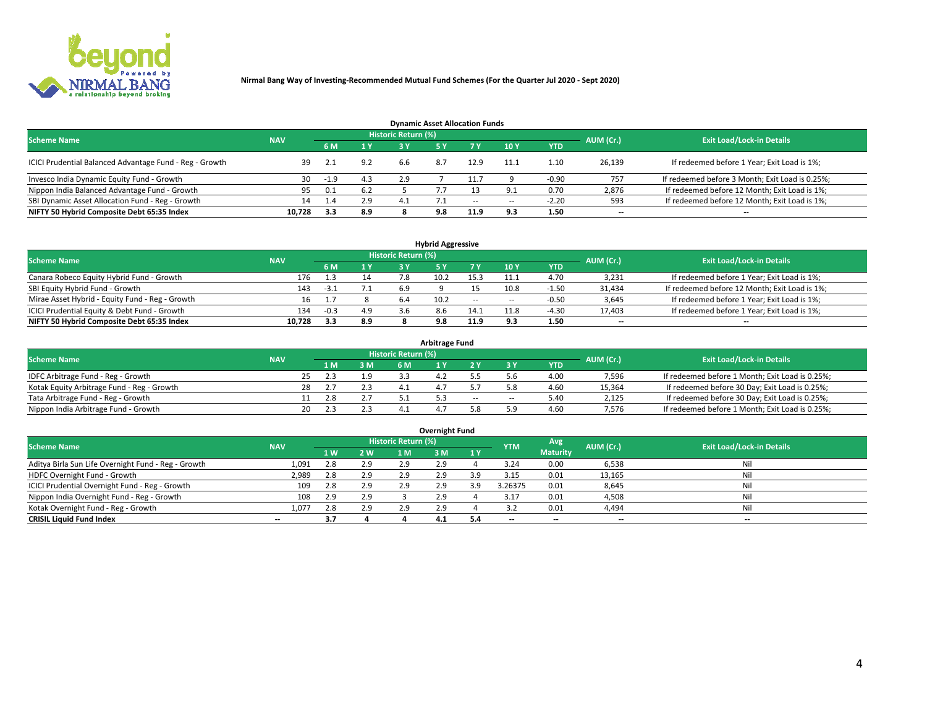

| <b>Dynamic Asset Allocation Funds</b>                   |                                                                                                          |              |                |     |     |        |            |            |        |                                                 |  |  |  |  |  |
|---------------------------------------------------------|----------------------------------------------------------------------------------------------------------|--------------|----------------|-----|-----|--------|------------|------------|--------|-------------------------------------------------|--|--|--|--|--|
|                                                         | Historic Return (%)<br><b>Exit Load/Lock-in Details</b><br>AUM (Cr.)<br><b>Scheme Name</b><br><b>NAV</b> |              |                |     |     |        |            |            |        |                                                 |  |  |  |  |  |
|                                                         |                                                                                                          | 6 M          | 1 <sup>Y</sup> |     |     |        | <b>10Y</b> | <b>YTD</b> |        |                                                 |  |  |  |  |  |
| ICICI Prudential Balanced Advantage Fund - Reg - Growth | 39                                                                                                       | 2.1          | 9.2            | 6.6 | 8.7 | 12.9   | 11.1       | 1.10       | 26,139 | If redeemed before 1 Year; Exit Load is 1%;     |  |  |  |  |  |
| Invesco India Dynamic Equity Fund - Growth              | 30                                                                                                       | -1.9         | 4.3            | 2.9 |     |        |            | $-0.90$    | 757    | If redeemed before 3 Month; Exit Load is 0.25%; |  |  |  |  |  |
| Nippon India Balanced Advantage Fund - Growth           | 95                                                                                                       | 0.1          | 6.2            |     |     |        | o.         | 0.70       | 2,876  | If redeemed before 12 Month; Exit Load is 1%;   |  |  |  |  |  |
| SBI Dynamic Asset Allocation Fund - Reg - Growth        | 14                                                                                                       | $\mathbf{A}$ | 2.9            | 4.1 |     | $\sim$ | $\sim$     | $-2.20$    | 593    | If redeemed before 12 Month; Exit Load is 1%;   |  |  |  |  |  |
| NIFTY 50 Hybrid Composite Debt 65:35 Index              | 10,728                                                                                                   | 3.3          | 8.9            |     | 9.8 | 11.9   | 9.3        | 1.50       | $- -$  | $- -$                                           |  |  |  |  |  |

| <b>Hybrid Aggressive</b>                                                                                        |        |        |     |     |      |        |      |            |                          |                                               |  |  |  |  |
|-----------------------------------------------------------------------------------------------------------------|--------|--------|-----|-----|------|--------|------|------------|--------------------------|-----------------------------------------------|--|--|--|--|
| <b>Historic Return (%)</b><br><b>Exit Load/Lock-in Details</b><br><b>Scheme Name</b><br>AUM (Cr.)<br><b>NAV</b> |        |        |     |     |      |        |      |            |                          |                                               |  |  |  |  |
|                                                                                                                 |        | 6 M    | 1 Y | 3 ۷ |      | 7 V    | 10Y  | <b>YTD</b> |                          |                                               |  |  |  |  |
| Canara Robeco Equity Hybrid Fund - Growth                                                                       | 176    |        | 14  |     |      | 15.3   |      | 4.70       | 3,231                    | If redeemed before 1 Year; Exit Load is 1%;   |  |  |  |  |
| SBI Equity Hybrid Fund - Growth                                                                                 | 143    | -3.1   |     | 6.9 |      |        | 10.8 | $-1.50$    | 31,434                   | If redeemed before 12 Month; Exit Load is 1%; |  |  |  |  |
| Mirae Asset Hybrid - Equity Fund - Reg - Growth                                                                 | 16     |        |     | 6.4 | 10.2 | $\sim$ | --   | $-0.50$    | 3,645                    | If redeemed before 1 Year; Exit Load is 1%;   |  |  |  |  |
| ICICI Prudential Equity & Debt Fund - Growth                                                                    | 134    | $-0.3$ | 4.9 |     | 8.6  | 14.1   |      | -4.30      | 17,403                   | If redeemed before 1 Year; Exit Load is 1%;   |  |  |  |  |
| NIFTY 50 Hybrid Composite Debt 65:35 Index                                                                      | 10.728 | 3.3    | 8.9 |     | 9.8  | 11.9   |      | 1.50       | $\overline{\phantom{a}}$ | $- -$                                         |  |  |  |  |

| Arbitrage Fund                             |            |     |     |                     |  |       |     |            |           |                                                 |  |  |  |  |
|--------------------------------------------|------------|-----|-----|---------------------|--|-------|-----|------------|-----------|-------------------------------------------------|--|--|--|--|
| <b>Scheme Name</b>                         | <b>NAV</b> |     |     | Historic Return (%) |  |       |     |            | AUM (Cr.) | <b>Exit Load/Lock-in Details</b>                |  |  |  |  |
|                                            |            | 1 M | 3 M | 6 M                 |  |       |     | <b>YTD</b> |           |                                                 |  |  |  |  |
| IDFC Arbitrage Fund - Reg - Growth         |            |     |     |                     |  |       |     | 4.00       | 7,596     | If redeemed before 1 Month; Exit Load is 0.25%; |  |  |  |  |
| Kotak Equity Arbitrage Fund - Reg - Growth |            |     |     |                     |  |       |     | 4.60       | 15,364    | If redeemed before 30 Day; Exit Load is 0.25%;  |  |  |  |  |
| Tata Arbitrage Fund - Reg - Growth         |            | 28  |     |                     |  | $- -$ | $-$ | 5.40       | 2,125     | If redeemed before 30 Day; Exit Load is 0.25%;  |  |  |  |  |
| Nippon India Arbitrage Fund - Growth       | 20         |     |     |                     |  |       |     | 4.60       | 7,576     | If redeemed before 1 Month; Exit Load is 0.25%; |  |  |  |  |

| Overnight Fund                                      |            |     |     |                            |     |       |            |                 |           |                                  |  |  |  |  |
|-----------------------------------------------------|------------|-----|-----|----------------------------|-----|-------|------------|-----------------|-----------|----------------------------------|--|--|--|--|
| <b>Scheme Name</b>                                  | <b>NAV</b> |     |     | <b>Historic Return (%)</b> |     |       | <b>YTM</b> | Avg             | AUM (Cr.) | <b>Exit Load/Lock-in Details</b> |  |  |  |  |
|                                                     |            | 1 W | 2W  | 1 M.                       | 3 M | 71 Y. |            | <b>Maturity</b> |           |                                  |  |  |  |  |
| Aditya Birla Sun Life Overnight Fund - Reg - Growth | 1,091      | 2.8 | 2.9 | 2.9                        | 2.9 |       | 3.24       | 0.00            | 6,538     | Nil                              |  |  |  |  |
| HDFC Overnight Fund - Growth                        | 2,989      |     | 2.9 | 2.9                        | 2.9 |       | 3.15       | 0.01            | 13,165    | Nil                              |  |  |  |  |
| ICICI Prudential Overnight Fund - Reg - Growth      | 109        | 2.8 | 2.9 | 2.9                        | 2.9 | 3.9   | 3.26375    | 0.01            | 8,645     | Nil                              |  |  |  |  |
| Nippon India Overnight Fund - Reg - Growth          | 108        | 2.9 | 2.9 |                            | 2.9 |       | 3.17       | 0.01            | 4,508     | Nil                              |  |  |  |  |
| Kotak Overnight Fund - Reg - Growth                 | 1,077      | 2.8 | 2.9 |                            | 2.9 |       |            | 0.01            | 4,494     | Nil                              |  |  |  |  |
| <b>CRISIL Liquid Fund Index</b>                     | $- -$      | 3.7 |     |                            | 4.1 | 5.4   | --         | $- -$           | $-$       | $- -$                            |  |  |  |  |

### **Overnight Fund**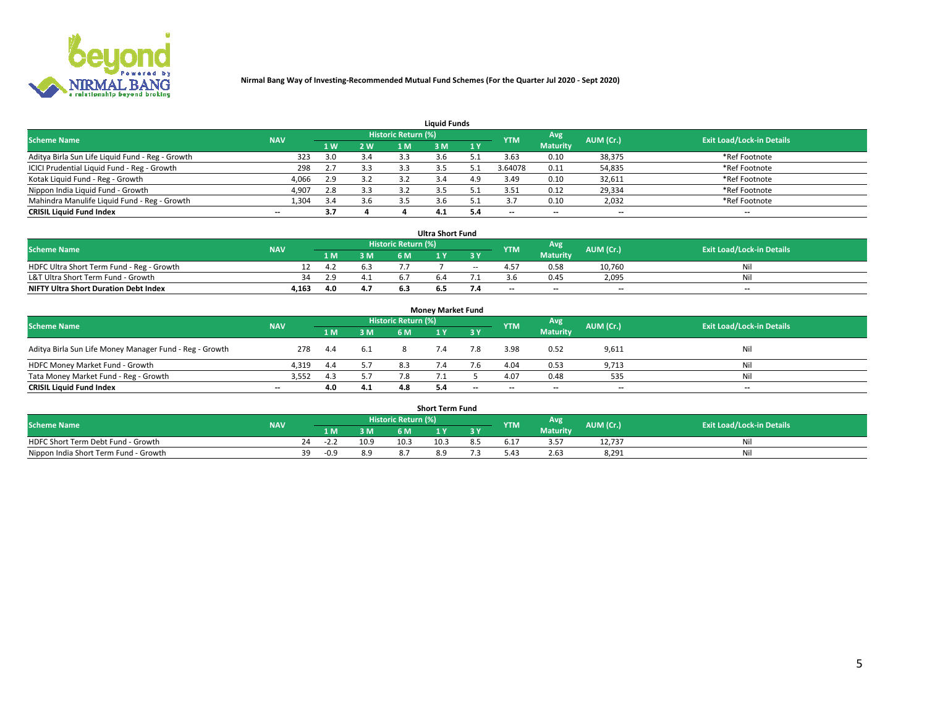

| <b>Liquid Funds</b>                              |                                                                                                                               |     |     |     |     |     |         |                 |        |               |  |  |  |  |  |
|--------------------------------------------------|-------------------------------------------------------------------------------------------------------------------------------|-----|-----|-----|-----|-----|---------|-----------------|--------|---------------|--|--|--|--|--|
|                                                  | Historic Return (%)<br>Avg<br><b>Exit Load/Lock-in Details</b><br><b>Scheme Name</b><br>AUM (Cr.)<br><b>NAV</b><br><b>YTM</b> |     |     |     |     |     |         |                 |        |               |  |  |  |  |  |
|                                                  |                                                                                                                               | 4W  | 2 W | 1 M | M   | 1 Y |         | <b>Maturity</b> |        |               |  |  |  |  |  |
| Aditya Birla Sun Life Liquid Fund - Reg - Growth | 323                                                                                                                           | 3.0 | 3.4 | 3.3 |     |     | 3.63    | 0.10            | 38,375 | *Ref Footnote |  |  |  |  |  |
| ICICI Prudential Liquid Fund - Reg - Growth      | 298                                                                                                                           |     | 3.3 | 3.3 |     |     | 3.64078 | 0.11            | 54,835 | *Ref Footnote |  |  |  |  |  |
| Kotak Liquid Fund - Reg - Growth                 | 4,066                                                                                                                         | 2.9 | 3.2 |     |     | 4.9 | 3.49    | 0.10            | 32,611 | *Ref Footnote |  |  |  |  |  |
| Nippon India Liquid Fund - Growth                | 4,907                                                                                                                         | 2.8 | 3.3 |     |     |     | 3.51    | 0.12            | 29,334 | *Ref Footnote |  |  |  |  |  |
| Mahindra Manulife Liquid Fund - Reg - Growth     | 1,304                                                                                                                         | 3.4 | 3.6 | 3.5 |     |     |         | 0.10            | 2,032  | *Ref Footnote |  |  |  |  |  |
| <b>CRISIL Liquid Fund Index</b>                  | $- -$                                                                                                                         | 3.7 |     |     | 4.1 |     | --      | $- -$           | --     | $- -$         |  |  |  |  |  |

| <b>Ultra Short Fund</b>                                                                                                                     |       |      |     |     |     |            |       |                 |                          |       |  |  |  |  |
|---------------------------------------------------------------------------------------------------------------------------------------------|-------|------|-----|-----|-----|------------|-------|-----------------|--------------------------|-------|--|--|--|--|
| <b>Historic Return (%)</b><br><b>Avg</b><br><b>Scheme Name</b><br>AUM (Cr.)<br><b>Exit Load/Lock-in Details</b><br><b>YTM</b><br><b>NAV</b> |       |      |     |     |     |            |       |                 |                          |       |  |  |  |  |
|                                                                                                                                             |       | 1 M. | 3 M | 6 M |     | 3 Y        |       | <b>Maturity</b> |                          |       |  |  |  |  |
| HDFC Ultra Short Term Fund - Reg - Growth                                                                                                   |       | 4.2  | 6.3 |     |     | $\sim$ $-$ |       | 0.58            | 10.760                   | Nil   |  |  |  |  |
| L&T Ultra Short Term Fund - Growth                                                                                                          | 34    | 2.9  | 4.1 |     |     |            |       | 0.45            | 2,095                    | Nil   |  |  |  |  |
| <b>NIFTY Ultra Short Duration Debt Index</b>                                                                                                | 4,163 | 4.0  | 4.7 |     | כ.ס |            | $- -$ | $- -$           | $\overline{\phantom{a}}$ | $- -$ |  |  |  |  |

| <b>Monev Market Fund</b>                                                                                                       |       |      |     |     |     |                          |      |                 |                          |       |  |  |  |  |
|--------------------------------------------------------------------------------------------------------------------------------|-------|------|-----|-----|-----|--------------------------|------|-----------------|--------------------------|-------|--|--|--|--|
| Historic Return (%)<br>'Avg<br><b>Scheme Name</b><br><b>Exit Load/Lock-in Details</b><br>AUM (Cr.)<br><b>NAV</b><br><b>YTM</b> |       |      |     |     |     |                          |      |                 |                          |       |  |  |  |  |
|                                                                                                                                |       | 1 M  | 3 M | 6 M |     | 3 Y                      |      | <b>Maturity</b> |                          |       |  |  |  |  |
| Aditya Birla Sun Life Money Manager Fund - Reg - Growth                                                                        | 278   | 4.4  | 6.1 |     | 7.4 | 7.8                      | 3.98 | 0.52            | 9,611                    | Nil   |  |  |  |  |
| HDFC Money Market Fund - Growth                                                                                                | 4.319 | -4.4 |     |     |     |                          | 4.04 | 0.53            | 9,713                    | Nil   |  |  |  |  |
| Tata Money Market Fund - Reg - Growth                                                                                          | 3,552 | 4.3  | 5.7 |     |     |                          | 4.07 | 0.48            | 535                      | Nil   |  |  |  |  |
| <b>CRISIL Liquid Fund Index</b>                                                                                                | $- -$ | 4.0  | 4.1 | 4.8 | 5.4 | $\overline{\phantom{a}}$ | --   | $-$             | $\overline{\phantom{a}}$ | $- -$ |  |  |  |  |

|                                       |            |        |      |                     | <b>Short Term Fund</b> |    |      |                 |           |                                  |
|---------------------------------------|------------|--------|------|---------------------|------------------------|----|------|-----------------|-----------|----------------------------------|
| <b>Scheme Name</b>                    | <b>NAV</b> |        |      | Historic Return (%) |                        |    | YTM  | Avg             | AUM (Cr.) | <b>Exit Load/Lock-in Details</b> |
|                                       |            | 1 M .  | 3 M  | 6 M                 |                        | 2V |      | <b>Maturity</b> |           |                                  |
| HDFC Short Term Debt Fund - Growth    | 24         | ے ۔∠-  | 10.9 | 10.3                | 10.3                   |    | 5.17 |                 | 12,737    | M                                |
| Nippon India Short Term Fund - Growth | 39         | $-0.9$ | 8.9  |                     |                        |    | 0.42 | 2.63            | 8,291     | N                                |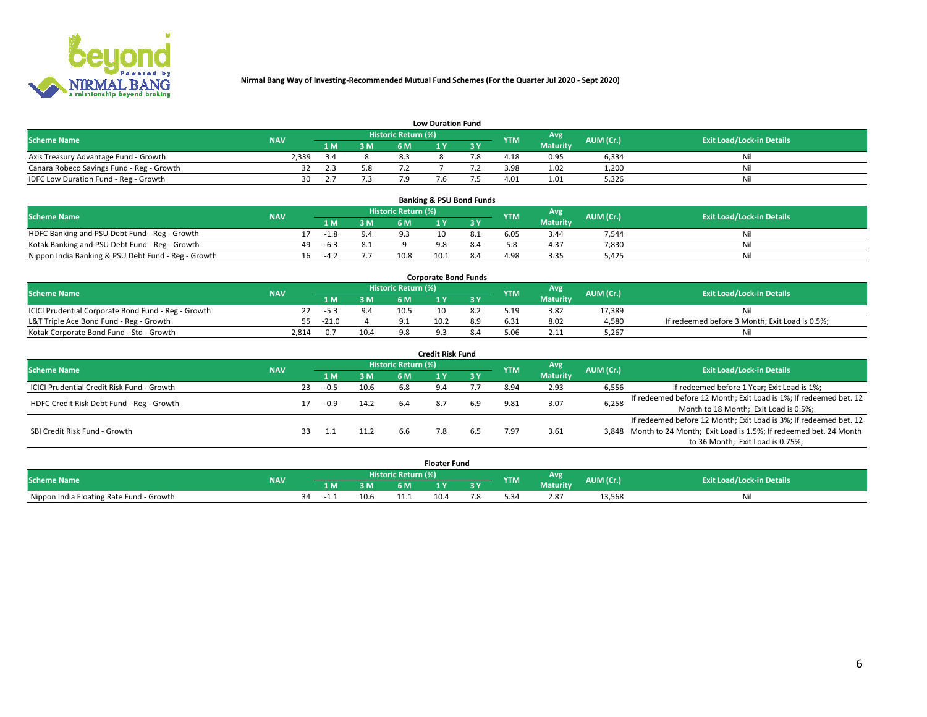

| <b>Low Duration Fund</b>                  |            |     |     |                     |  |  |            |                 |           |                                  |  |  |  |  |
|-------------------------------------------|------------|-----|-----|---------------------|--|--|------------|-----------------|-----------|----------------------------------|--|--|--|--|
| <b>Scheme Name</b>                        | <b>NAV</b> |     |     | Historic Return (%) |  |  | <b>YTM</b> | Avg             | AUM (Cr.) | <b>Exit Load/Lock-in Details</b> |  |  |  |  |
|                                           |            | 1 M | 3 M |                     |  |  |            | <b>Maturity</b> |           |                                  |  |  |  |  |
| Axis Treasury Advantage Fund - Growth     | 2.339      |     |     |                     |  |  | 4.18       | 0.95            | 6.334     | Nil                              |  |  |  |  |
| Canara Robeco Savings Fund - Reg - Growth |            |     |     |                     |  |  | 3.98       | 1.02            | 1,200     | Nil                              |  |  |  |  |
| IDFC Low Duration Fund - Reg - Growth     | 30         |     |     |                     |  |  | 4.01       | 1.01            | 5,326     | Nil                              |  |  |  |  |

| <b>Banking &amp; PSU Bond Funds</b>                 |            |    |        |     |                     |      |     |            |                 |           |                                  |  |  |  |
|-----------------------------------------------------|------------|----|--------|-----|---------------------|------|-----|------------|-----------------|-----------|----------------------------------|--|--|--|
| <b>Scheme Name</b>                                  | <b>NAV</b> |    |        |     | Historic Return (%) |      |     | <b>YTM</b> | Avg             | AUM (Cr.) | <b>Exit Load/Lock-in Details</b> |  |  |  |
|                                                     |            |    | 1 M.   | 3 M | 6 M                 |      |     |            | <b>Maturity</b> |           |                                  |  |  |  |
| HDFC Banking and PSU Debt Fund - Reg - Growth       |            |    | $-1.8$ | 9.4 |                     |      |     | 6.05       | 3.44            | 7.544     | Ni                               |  |  |  |
| Kotak Banking and PSU Debt Fund - Reg - Growth      |            | 49 | $-6.3$ | 8.1 |                     |      |     |            | 4.37            | 7,830     | Ni                               |  |  |  |
| Nippon India Banking & PSU Debt Fund - Reg - Growth |            | 16 | $-4.2$ |     | 10.8                | 10.2 | 8.4 | 4.98       | 3.35            | 5.425     | Νi                               |  |  |  |

| <b>Corporate Bond Funds</b>                                                                                                          |       |         |      |      |      |  |      |                 |        |                                                |  |  |  |  |
|--------------------------------------------------------------------------------------------------------------------------------------|-------|---------|------|------|------|--|------|-----------------|--------|------------------------------------------------|--|--|--|--|
| <b>Historic Return (%)</b><br>Avg<br>AUM (Cr.)<br><b>Exit Load/Lock-in Details</b><br><b>Scheme Name</b><br><b>YTM</b><br><b>NAV</b> |       |         |      |      |      |  |      |                 |        |                                                |  |  |  |  |
|                                                                                                                                      |       |         | 3 M  | 6 M  |      |  |      | <b>Maturity</b> |        |                                                |  |  |  |  |
| ICICI Prudential Corporate Bond Fund - Reg - Growth                                                                                  |       | -5.3    |      | 10.5 |      |  | 5.19 | 3.82            | 17.389 | Nil                                            |  |  |  |  |
| L&T Triple Ace Bond Fund - Reg - Growth                                                                                              | 55    | $-21.0$ |      |      | 10.2 |  | 6.31 | 8.02            | 4,580  | If redeemed before 3 Month; Exit Load is 0.5%; |  |  |  |  |
| Kotak Corporate Bond Fund - Std - Growth                                                                                             | 2.814 |         | 10.4 | Q    |      |  |      | 2.11            | 5,267  | Nil                                            |  |  |  |  |

| <b>Credit Risk Fund</b>                    |            |    |        |      |                            |     |           |            |                 |           |                                                                       |  |  |  |
|--------------------------------------------|------------|----|--------|------|----------------------------|-----|-----------|------------|-----------------|-----------|-----------------------------------------------------------------------|--|--|--|
| <b>Scheme Name</b>                         | <b>NAV</b> |    |        |      | <b>Historic Return (%)</b> |     |           | <b>YTM</b> | Avg             | AUM (Cr.) | <b>Exit Load/Lock-in Details</b>                                      |  |  |  |
|                                            |            |    | 1 M    | 3 M  | 6 M                        |     | <b>3Y</b> |            | <b>Maturity</b> |           |                                                                       |  |  |  |
| ICICI Prudential Credit Risk Fund - Growth |            | 23 | $-0.5$ | 10.6 | 6.8                        |     |           | 8.94       | 2.93            | 6,556     | If redeemed before 1 Year; Exit Load is 1%;                           |  |  |  |
| HDFC Credit Risk Debt Fund - Reg - Growth  |            |    | -0.9   | 14.2 | 6.4                        |     | 6.9       | 9.81       | 3.07            | 6,258     | If redeemed before 12 Month; Exit Load is 1%; If redeemed bet. 12     |  |  |  |
|                                            |            |    |        |      |                            |     |           |            |                 |           | Month to 18 Month; Exit Load is 0.5%;                                 |  |  |  |
|                                            |            |    |        |      |                            |     |           |            |                 |           | If redeemed before 12 Month; Exit Load is 3%; If redeemed bet. 12     |  |  |  |
| SBI Credit Risk Fund - Growth              |            |    |        |      | 6.6                        | 7.8 |           | ' 97       | 3.61            |           | 3,848 Month to 24 Month; Exit Load is 1.5%; If redeemed bet. 24 Month |  |  |  |
|                                            |            |    |        |      |                            |     |           |            |                 |           | to 36 Month; Exit Load is 0.75%;                                      |  |  |  |

| <b>Floater Fund</b>                      |            |          |      |                       |      |   |            |                 |           |                                  |  |
|------------------------------------------|------------|----------|------|-----------------------|------|---|------------|-----------------|-----------|----------------------------------|--|
| <b>Scheme Name</b>                       | <b>NAV</b> |          |      | Historic Return (%) \ |      |   | <b>YTM</b> | Avg             | AUM (Cr.) | <b>Exit Load/Lock-in Details</b> |  |
|                                          |            | 1 M      | ЗM   | 6 M                   | - 17 | . |            | <b>Maturity</b> |           |                                  |  |
| Nippon India Floating Rate Fund - Growth |            | 34<br>-1 | 10.6 |                       | 10.4 |   |            | 2.87            | 13,568    | NL                               |  |